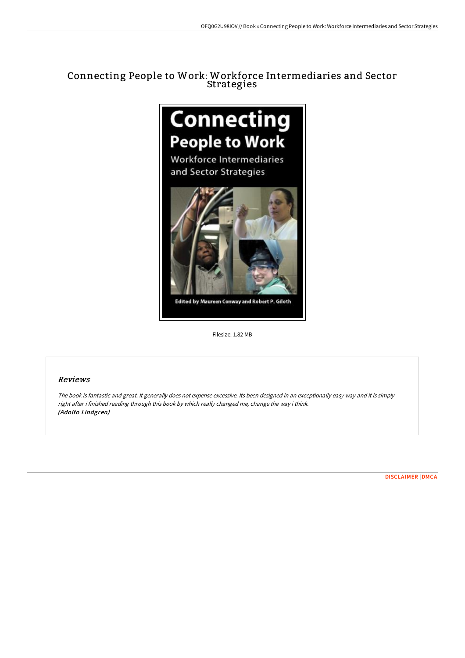# Connecting People to Work: Workforce Intermediaries and Sector Strategies





Edited by Maureen Conway and Robert P. Giloth

Filesize: 1.82 MB

# Reviews

The book is fantastic and great. It generally does not expense excessive. Its been designed in an exceptionally easy way and it is simply right after i finished reading through this book by which really changed me, change the way i think. (Adolfo Lindgren)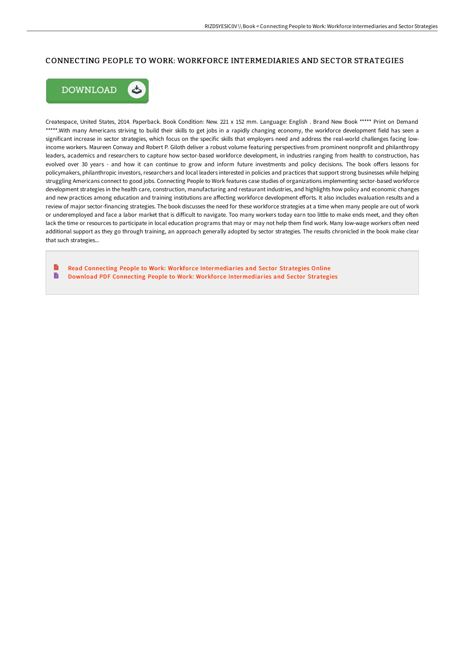## CONNECTING PEOPLE TO WORK: WORKFORCE INTERMEDIARIES AND SECTOR STRATEGIES



Createspace, United States, 2014. Paperback. Book Condition: New. 221 x 152 mm. Language: English . Brand New Book \*\*\*\*\* Print on Demand \*\*\*\*\*.With many Americans striving to build their skills to get jobs in a rapidly changing economy, the workforce development field has seen a significant increase in sector strategies, which focus on the specific skills that employers need and address the real-world challenges facing lowincome workers. Maureen Conway and Robert P. Giloth deliver a robust volume featuring perspectives from prominent nonprofit and philanthropy leaders, academics and researchers to capture how sector-based workforce development, in industries ranging from health to construction, has evolved over 30 years - and how it can continue to grow and inform future investments and policy decisions. The book offers lessons for policymakers, philanthropic investors, researchers and local leaders interested in policies and practices that support strong businesses while helping struggling Americans connect to good jobs. Connecting People to Work features case studies of organizations implementing sector-based workforce development strategies in the health care, construction, manufacturing and restaurant industries, and highlights how policy and economic changes and new practices among education and training institutions are affecting workforce development efforts. It also includes evaluation results and a review of major sector-financing strategies. The book discusses the need for these workforce strategies at a time when many people are out of work or underemployed and face a labor market that is difficult to navigate. Too many workers today earn too little to make ends meet, and they often lack the time or resources to participate in local education programs that may or may not help them find work. Many low-wage workers often need additional support as they go through training, an approach generally adopted by sector strategies. The results chronicled in the book make clear that such strategies...

B Read Connecting People to Work: Workfor ce [Intermediaries](http://digilib.live/connecting-people-to-work-workforce-intermediari.html) and Sector Strategies Online B Download PDF Connecting People to Work: Workforce [Intermediaries](http://digilib.live/connecting-people-to-work-workforce-intermediari.html) and Sector Strategies